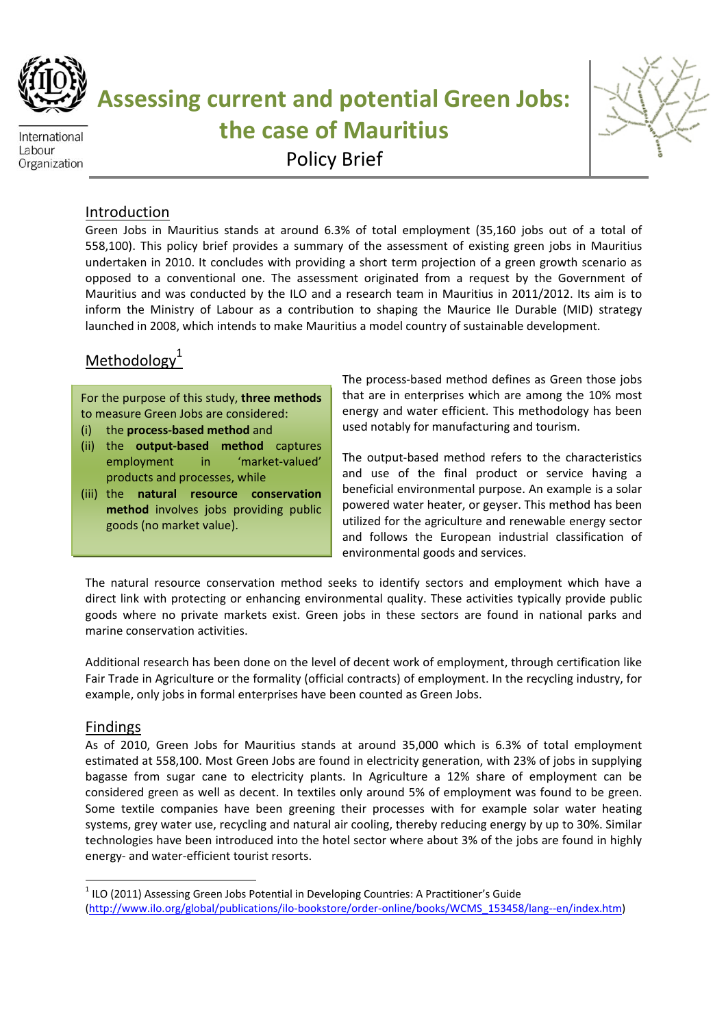

International Labour Organization **Assessing current and potential Green Jobs: the case of Mauritius** Policy Brief



### Introduction

Green Jobs in Mauritius stands at around 6.3% of total employment (35,160 jobs out of a total of 558,100). This policy brief provides a summary of the assessment of existing green jobs in Mauritius undertaken in 2010. It concludes with providing a short term projection of a green growth scenario as opposed to a conventional one. The assessment originated from a request by the Government of Mauritius and was conducted by the ILO and a research team in Mauritius in 2011/2012. Its aim is to inform the Ministry of Labour as a contribution to shaping the Maurice Ile Durable (MID) strategy launched in 2008, which intends to make Mauritius a model country of sustainable development.

# Methodology<sup>1</sup>

For the purpose of this study, **three methods** to measure Green Jobs are considered:

- (i) the **process‐based method** and
- (ii) the **output‐based method** captures employment in 'market-valued' products and processes, while
- (iii) the **natural resource conservation method** involves jobs providing public goods (no market value).

The process‐based method defines as Green those jobs that are in enterprises which are among the 10% most energy and water efficient. This methodology has been used notably for manufacturing and tourism.

The output‐based method refers to the characteristics and use of the final product or service having a beneficial environmental purpose. An example is a solar powered water heater, or geyser. This method has been utilized for the agriculture and renewable energy sector and follows the European industrial classification of environmental goods and services.

The natural resource conservation method seeks to identify sectors and employment which have a direct link with protecting or enhancing environmental quality. These activities typically provide public goods where no private markets exist. Green jobs in these sectors are found in national parks and marine conservation activities.

Additional research has been done on the level of decent work of employment, through certification like Fair Trade in Agriculture or the formality (official contracts) of employment. In the recycling industry, for example, only jobs in formal enterprises have been counted as Green Jobs.

#### Findings

As of 2010, Green Jobs for Mauritius stands at around 35,000 which is 6.3% of total employment estimated at 558,100. Most Green Jobs are found in electricity generation, with 23% of jobs in supplying bagasse from sugar cane to electricity plants. In Agriculture a 12% share of employment can be considered green as well as decent. In textiles only around 5% of employment was found to be green. Some textile companies have been greening their processes with for example solar water heating systems, grey water use, recycling and natural air cooling, thereby reducing energy by up to 30%. Similar technologies have been introduced into the hotel sector where about 3% of the jobs are found in highly energy‐ and water‐efficient tourist resorts.

 $1$  ILO (2011) Assessing Green Jobs Potential in Developing Countries: A Practitioner's Guide (http://www.ilo.org/global/publications/ilo‐bookstore/order‐online/books/WCMS\_153458/lang‐‐en/index.htm)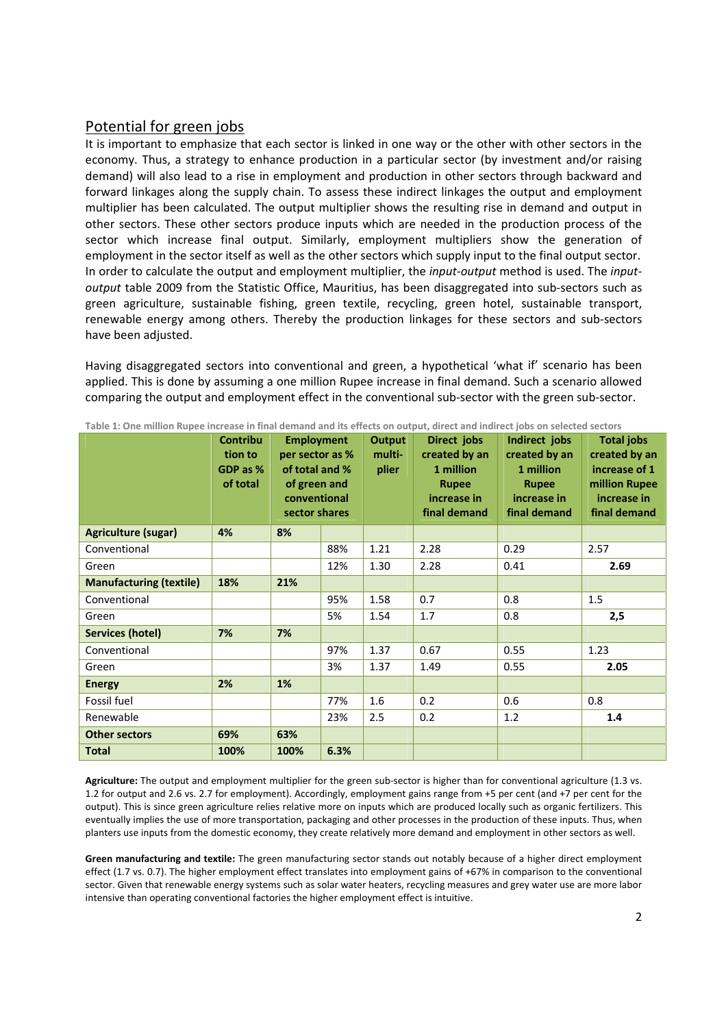#### Potential for green jobs

It is important to emphasize that each sector is linked in one way or the other with other sectors in the economy. Thus, a strategy to enhance production in a particular sector (by investment and/or raising demand) will also lead to a rise in employment and production in other sectors through backward and forward linkages along the supply chain. To assess these indirect linkages the output and employment multiplier has been calculated. The output multiplier shows the resulting rise in demand and output in other sectors. These other sectors produce inputs which are needed in the production process of the sector which increase final output. Similarly, employment multipliers show the generation of employment in the sector itself as well as the other sectors which supply input to the final output sector. In order to calculate the output and employment multiplier, the *input-output* method is used. The *inputoutput* table 2009 from the Statistic Office, Mauritius, has been disaggregated into sub‐sectors such as green agriculture, sustainable fishing, green textile, recycling, green hotel, sustainable transport, renewable energy among others. Thereby the production linkages for these sectors and sub‐sectors have been adjusted.

Having disaggregated sectors into conventional and green, a hypothetical 'what if' scenario has been applied. This is done by assuming a one million Rupee increase in final demand. Such a scenario allowed comparing the output and employment effect in the conventional sub‐sector with the green sub‐sector.

|                                | <b>Contribu</b><br>tion to<br>GDP as %<br>of total | <b>Employment</b><br>per sector as %<br>of total and %<br>of green and<br>conventional<br>sector shares |      | <b>Output</b><br>multi-<br>plier | Direct jobs<br>created by an<br>1 million<br><b>Rupee</b><br>increase in<br>final demand | Indirect jobs<br>created by an<br>1 million<br><b>Rupee</b><br>increase in<br>final demand | <b>Total jobs</b><br>created by an<br>increase of 1<br>million Rupee<br>increase in<br>final demand |
|--------------------------------|----------------------------------------------------|---------------------------------------------------------------------------------------------------------|------|----------------------------------|------------------------------------------------------------------------------------------|--------------------------------------------------------------------------------------------|-----------------------------------------------------------------------------------------------------|
| <b>Agriculture (sugar)</b>     | 4%                                                 | 8%                                                                                                      |      |                                  |                                                                                          |                                                                                            |                                                                                                     |
| Conventional                   |                                                    |                                                                                                         | 88%  | 1.21                             | 2.28                                                                                     | 0.29                                                                                       | 2.57                                                                                                |
| Green                          |                                                    |                                                                                                         | 12%  | 1.30                             | 2.28                                                                                     | 0.41                                                                                       | 2.69                                                                                                |
| <b>Manufacturing (textile)</b> | 18%                                                | 21%                                                                                                     |      |                                  |                                                                                          |                                                                                            |                                                                                                     |
| Conventional                   |                                                    |                                                                                                         | 95%  | 1.58                             | 0.7                                                                                      | 0.8                                                                                        | 1.5                                                                                                 |
| Green                          |                                                    |                                                                                                         | 5%   | 1.54                             | 1.7                                                                                      | 0.8                                                                                        | 2,5                                                                                                 |
| <b>Services (hotel)</b>        | 7%                                                 | 7%                                                                                                      |      |                                  |                                                                                          |                                                                                            |                                                                                                     |
| Conventional                   |                                                    |                                                                                                         | 97%  | 1.37                             | 0.67                                                                                     | 0.55                                                                                       | 1.23                                                                                                |
| Green                          |                                                    |                                                                                                         | 3%   | 1.37                             | 1.49                                                                                     | 0.55                                                                                       | 2.05                                                                                                |
| <b>Energy</b>                  | 2%                                                 | 1%                                                                                                      |      |                                  |                                                                                          |                                                                                            |                                                                                                     |
| Fossil fuel                    |                                                    |                                                                                                         | 77%  | 1.6                              | 0.2                                                                                      | 0.6                                                                                        | 0.8                                                                                                 |
| Renewable                      |                                                    |                                                                                                         | 23%  | 2.5                              | 0.2                                                                                      | 1.2                                                                                        | 1.4                                                                                                 |
| <b>Other sectors</b>           | 69%                                                | 63%                                                                                                     |      |                                  |                                                                                          |                                                                                            |                                                                                                     |
| <b>Total</b>                   | 100%                                               | 100%                                                                                                    | 6.3% |                                  |                                                                                          |                                                                                            |                                                                                                     |

Table 1: One million Rupee increase in final demand and its effects on output, direct and indirect jobs on selected sectors

Agriculture: The output and employment multiplier for the green sub-sector is higher than for conventional agriculture (1.3 vs. 1.2 for output and 2.6 vs. 2.7 for employment). Accordingly, employment gains range from +5 per cent (and +7 per cent for the output). This is since green agriculture relies relative more on inputs which are produced locally such as organic fertilizers. This eventually implies the use of more transportation, packaging and other processes in the production of these inputs. Thus, when planters use inputs from the domestic economy, they create relatively more demand and employment in other sectors as well.

**Green manufacturing and textile:** The green manufacturing sector stands out notably because of a higher direct employment effect (1.7 vs. 0.7). The higher employment effect translates into employment gains of +67% in comparison to the conventional sector. Given that renewable energy systems such as solar water heaters, recycling measures and grey water use are more labor intensive than operating conventional factories the higher employment effect is intuitive.